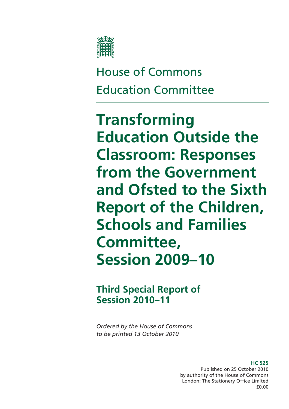

House of Commons Education Committee

**Transforming Education Outside the Classroom: Responses from the Government and Ofsted to the Sixth Report of the Children, Schools and Families Committee, Session 2009–10** 

**Third Special Report of Session 2010–11** 

*Ordered by the House of Commons to be printed 13 October 2010* 

> **HC 525**  Published on 25 October 2010 by authority of the House of Commons London: The Stationery Office Limited £0.00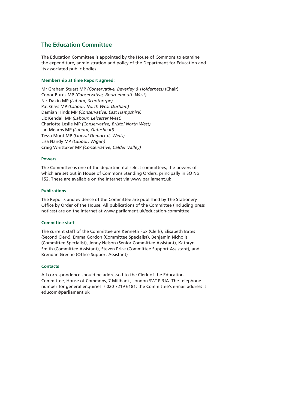## **The Education Committee**

The Education Committee is appointed by the House of Commons to examine the expenditure, administration and policy of the Department for Education and its associated public bodies.

### **Membership at time Report agreed:**

Mr Graham Stuart MP *(Conservative, Beverley & Holderness)* (Chair) Conor Burns MP *(Conservative, Bournemouth West)*  Nic Dakin MP *(Labour, Scunthorpe)*  Pat Glass MP *(Labour, North West Durham)*  Damian Hinds MP *(Conservative, East Hampshire)*  Liz Kendall MP *(Labour, Leicester West)*  Charlotte Leslie MP *(Conservative, Bristol North West)*  Ian Mearns MP *(Labour, Gateshead)*  Tessa Munt MP *(Liberal Democrat, Wells)*  Lisa Nandy MP *(Labour, Wigan)*  Craig Whittaker MP *(Conservative, Calder Valley)* 

### **Powers**

The Committee is one of the departmental select committees, the powers of which are set out in House of Commons Standing Orders, principally in SO No 152. These are available on the Internet via www.parliament.uk

### **Publications**

The Reports and evidence of the Committee are published by The Stationery Office by Order of the House. All publications of the Committee (including press notices) are on the Internet at www.parliament.uk/education-committee

#### **Committee staff**

The current staff of the Committee are Kenneth Fox (Clerk), Elisabeth Bates (Second Clerk), Emma Gordon (Committee Specialist), Benjamin Nicholls (Committee Specialist), Jenny Nelson (Senior Committee Assistant), Kathryn Smith (Committee Assistant), Steven Price (Committee Support Assistant), and Brendan Greene (Office Support Assistant)

#### **Contacts**

All correspondence should be addressed to the Clerk of the Education Committee, House of Commons, 7 Millbank, London SW1P 3JA. The telephone number for general enquiries is 020 7219 6181; the Committee's e-mail address is educom@parliament.uk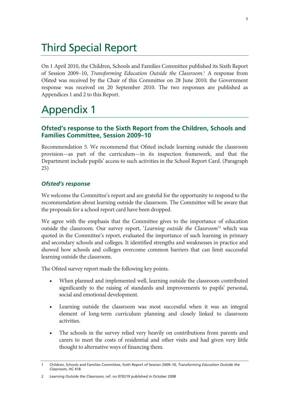# Third Special Report

On 1 April 2010, the Children, Schools and Families Committee published its Sixth Report of Session 2009-10, *Transforming Education Outside the Classroom*.<sup>1</sup> A response from Ofsted was received by the Chair of this Committee on 28 June 2010; the Government response was received on 20 September 2010. The two responses are published as Appendices 1 and 2 to this Report.

# Appendix 1

# **Ofsted's response to the Sixth Report from the Children, Schools and Families Committee, Session 2009–10**

Recommendation 5. We recommend that Ofsted include learning outside the classroom provision—as part of the curriculum—in its inspection framework, and that the Department include pupils' access to such activities in the School Report Card. (Paragraph 25)

# *Ofsted's response*

We welcome the Committee's report and are grateful for the opportunity to respond to the recommendation about learning outside the classroom. The Committee will be aware that the proposals for a school report card have been dropped.

We agree with the emphasis that the Committee gives to the importance of education outside the classroom. Our survey report, '*Learning outside the Classroom*' <sup>2</sup> which was quoted in the Committee's report, evaluated the importance of such learning in primary and secondary schools and colleges. It identified strengths and weaknesses in practice and showed how schools and colleges overcome common barriers that can limit successful learning outside the classroom.

The Ofsted survey report made the following key points.

- When planned and implemented well, learning outside the classroom contributed significantly to the raising of standards and improvements to pupils' personal, social and emotional development.
- Learning outside the classroom was most successful when it was an integral element of long-term curriculum planning and closely linked to classroom activities.
- The schools in the survey relied very heavily on contributions from parents and carers to meet the costs of residential and other visits and had given very little thought to alternative ways of financing them.

<sup>1</sup> Children, Schools and Families Committee, Sixth Report of Session 2009–10, *Transforming Education Outside the Classroom*, HC 418

<sup>2</sup> *Learning Outside the Classroom*, ref. no 070219 published in October 2008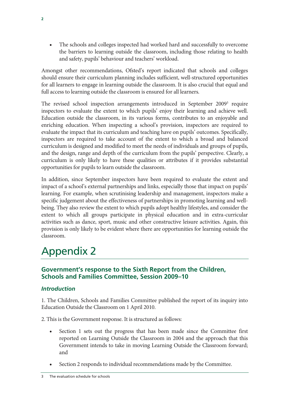• The schools and colleges inspected had worked hard and successfully to overcome the barriers to learning outside the classroom, including those relating to health and safety, pupils' behaviour and teachers' workload.

Amongst other recommendations, Ofsted's report indicated that schools and colleges should ensure their curriculum planning includes sufficient, well-structured opportunities for all learners to engage in learning outside the classroom. It is also crucial that equal and full access to learning outside the classroom is ensured for all learners.

The revised school inspection arrangements introduced in September 2009<sup>3</sup> require inspectors to evaluate the extent to which pupils' enjoy their learning and achieve well. Education outside the classroom, in its various forms, contributes to an enjoyable and enriching education. When inspecting a school's provision, inspectors are required to evaluate the impact that its curriculum and teaching have on pupils' outcomes. Specifically, inspectors are required to take account of the extent to which a broad and balanced curriculum is designed and modified to meet the needs of individuals and groups of pupils, and the design, range and depth of the curriculum from the pupils' perspective. Clearly, a curriculum is only likely to have these qualities or attributes if it provides substantial opportunities for pupils to learn outside the classroom.

In addition, since September inspectors have been required to evaluate the extent and impact of a school's external partnerships and links, especially those that impact on pupils' learning. For example, when scrutinising leadership and management, inspectors make a specific judgement about the effectiveness of partnerships in promoting learning and wellbeing. They also review the extent to which pupils adopt healthy lifestyles, and consider the extent to which all groups participate in physical education and in extra-curricular activities such as dance, sport, music and other constructive leisure activities. Again, this provision is only likely to be evident where there are opportunities for learning outside the classroom.

# Appendix 2

# **Government's response to the Sixth Report from the Children, Schools and Families Committee, Session 2009–10**

# *Introduction*

1. The Children, Schools and Families Committee published the report of its inquiry into Education Outside the Classroom on 1 April 2010.

2. This is the Government response. It is structured as follows:

- Section 1 sets out the progress that has been made since the Committee first reported on Learning Outside the Classroom in 2004 and the approach that this Government intends to take in moving Learning Outside the Classroom forward; and
- Section 2 responds to individual recommendations made by the Committee.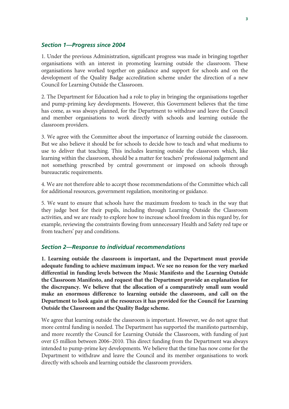## *Section 1—Progress since 2004*

1. Under the previous Administration, significant progress was made in bringing together organisations with an interest in promoting learning outside the classroom. These organisations have worked together on guidance and support for schools and on the development of the Quality Badge accreditation scheme under the direction of a new Council for Learning Outside the Classroom.

2. The Department for Education had a role to play in bringing the organisations together and pump-priming key developments. However, this Government believes that the time has come, as was always planned, for the Department to withdraw and leave the Council and member organisations to work directly with schools and learning outside the classroom providers.

3. We agree with the Committee about the importance of learning outside the classroom. But we also believe it should be for schools to decide how to teach and what mediums to use to deliver that teaching. This includes learning outside the classroom which, like learning within the classroom, should be a matter for teachers' professional judgement and not something prescribed by central government or imposed on schools through bureaucratic requirements.

4. We are not therefore able to accept those recommendations of the Committee which call for additional resources, government regulation, monitoring or guidance.

5. We want to ensure that schools have the maximum freedom to teach in the way that they judge best for their pupils, including through Learning Outside the Classroom activities, and we are ready to explore how to increase school freedom in this regard by, for example, reviewing the constraints flowing from unnecessary Health and Safety red tape or from teachers' pay and conditions.

## *Section 2—Response to individual recommendations*

**1. Learning outside the classroom is important, and the Department must provide adequate funding to achieve maximum impact. We see no reason for the very marked differential in funding levels between the Music Manifesto and the Learning Outside the Classroom Manifesto, and request that the Department provide an explanation for the discrepancy. We believe that the allocation of a comparatively small sum would make an enormous difference to learning outside the classroom, and call on the Department to look again at the resources it has provided for the Council for Learning Outside the Classroom and the Quality Badge scheme.** 

We agree that learning outside the classroom is important. However, we do not agree that more central funding is needed. The Department has supported the manifesto partnership, and more recently the Council for Learning Outside the Classroom, with funding of just over £5 million between 2006–2010. This direct funding from the Department was always intended to pump-prime key developments. We believe that the time has now come for the Department to withdraw and leave the Council and its member organisations to work directly with schools and learning outside the classroom providers.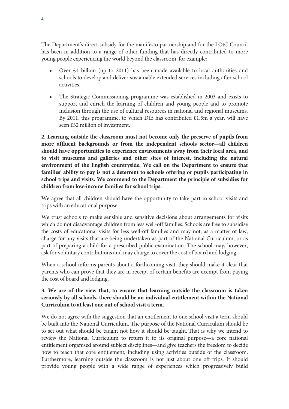The Department's direct subsidy for the manifesto partnership and for the LOtC Council has been in addition to a range of other funding that has directly contributed to more young people experiencing the world beyond the classroom, for example:

- Over  $\pm 1$  billion (up to 2011) has been made available to local authorities and schools to develop and deliver sustainable extended services including after school activities.
- The Strategic Commissioning programme was established in 2003 and exists to support and enrich the learning of children and young people and to promote inclusion through the use of cultural resources in national and regional museums. By 2011, this programme, to which DfE has contributed £1.5m a year, will have seen £32 million of investment.

**2. Learning outside the classroom must not become only the preserve of pupils from more affluent backgrounds or from the independent schools sector—all children should have opportunities to experience environments away from their local area, and to visit museums and galleries and other sites of interest, including the natural environment of the English countryside. We call on the Department to ensure that families' ability to pay is not a deterrent to schools offering or pupils participating in school trips and visits. We commend to the Department the principle of subsidies for children from low-income families for school trips.** 

We agree that all children should have the opportunity to take part in school visits and trips with an educational purpose.

We trust schools to make sensible and sensitive decisions about arrangements for visits which do not disadvantage children from less well-off families. Schools are free to subsidise the costs of educational visits for less well-off families and may not, as a matter of law, charge for any visits that are being undertaken as part of the National Curriculum, or as part of preparing a child for a prescribed public examination. The school may, however, ask for voluntary contributions and may charge to cover the cost of board and lodging.

When a school informs parents about a forthcoming visit, they should make it clear that parents who can prove that they are in receipt of certain benefits are exempt from paying the cost of board and lodging.

# **3. We are of the view that, to ensure that learning outside the classroom is taken seriously by all schools, there should be an individual entitlement within the National Curriculum to at least one out of school visit a term.**

We do not agree with the suggestion that an entitlement to one school visit a term should be built into the National Curriculum. The purpose of the National Curriculum should be to set out what should be taught not how it should be taught. That is why we intend to review the National Curriculum to return it to its original purpose—a core national entitlement organised around subject disciplines—and give teachers the freedom to decide how to teach that core entitlement, including using activities outside of the classroom. Furthermore, learning outside the classroom is not just about one off trips. It should provide young people with a wide range of experiences which progressively build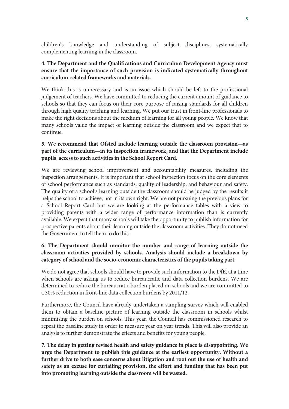children's knowledge and understanding of subject disciplines, systematically complementing learning in the classroom.

# **4. The Department and the Qualifications and Curriculum Development Agency must ensure that the importance of such provision is indicated systematically throughout curriculum-related frameworks and materials.**

We think this is unnecessary and is an issue which should be left to the professional judgement of teachers. We have committed to reducing the current amount of guidance to schools so that they can focus on their core purpose of raising standards for all children through high quality teaching and learning. We put our trust in front-line professionals to make the right decisions about the medium of learning for all young people. We know that many schools value the impact of learning outside the classroom and we expect that to continue.

# **5. We recommend that Ofsted include learning outside the classroom provision—as part of the curriculum—in its inspection framework, and that the Department include pupils' access to such activities in the School Report Card.**

We are reviewing school improvement and accountability measures, including the inspection arrangements. It is important that school inspection focus on the core elements of school performance such as standards, quality of leadership, and behaviour and safety. The quality of a school's learning outside the classroom should be judged by the results it helps the school to achieve, not in its own right. We are not pursuing the previous plans for a School Report Card but we are looking at the performance tables with a view to providing parents with a wider range of performance information than is currently available. We expect that many schools will take the opportunity to publish information for prospective parents about their learning outside the classroom activities. They do not need the Government to tell them to do this.

# **6. The Department should monitor the number and range of learning outside the classroom activities provided by schools. Analysis should include a breakdown by category of school and the socio-economic characteristics of the pupils taking part.**

We do not agree that schools should have to provide such information to the DfE, at a time when schools are asking us to reduce bureaucratic and data collection burdens. We are determined to reduce the bureaucratic burden placed on schools and we are committed to a 30% reduction in front-line data collection burdens by 2011/12.

Furthermore, the Council have already undertaken a sampling survey which will enabled them to obtain a baseline picture of learning outside the classroom in schools whilst minimising the burden on schools. This year, the Council has commissioned research to repeat the baseline study in order to measure year on year trends. This will also provide an analysis to further demonstrate the effects and benefits for young people.

**7. The delay in getting revised health and safety guidance in place is disappointing. We urge the Department to publish this guidance at the earliest opportunity. Without a further drive to both ease concerns about litigation and root out the use of health and safety as an excuse for curtailing provision, the effort and funding that has been put into promoting learning outside the classroom will be wasted.**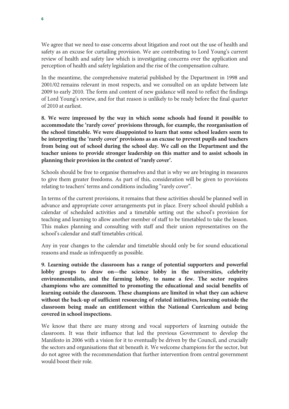We agree that we need to ease concerns about litigation and root out the use of health and safety as an excuse for curtailing provision. We are contributing to Lord Young's current review of health and safety law which is investigating concerns over the application and perception of health and safety legislation and the rise of the compensation culture.

In the meantime, the comprehensive material published by the Department in 1998 and 2001/02 remains relevant in most respects, and we consulted on an update between late 2009 to early 2010. The form and content of new guidance will need to reflect the findings of Lord Young's review, and for that reason is unlikely to be ready before the final quarter of 2010 at earliest.

**8. We were impressed by the way in which some schools had found it possible to accommodate the 'rarely cover' provisions through, for example, the reorganisation of the school timetable. We were disappointed to learn that some school leaders seem to be interpreting the 'rarely cover' provisions as an excuse to prevent pupils and teachers from being out of school during the school day. We call on the Department and the teacher unions to provide stronger leadership on this matter and to assist schools in planning their provision in the context of 'rarely cover'.** 

Schools should be free to organise themselves and that is why we are bringing in measures to give them greater freedoms. As part of this, consideration will be given to provisions relating to teachers' terms and conditions including "rarely cover".

In terms of the current provisions, it remains that these activities should be planned well in advance and appropriate cover arrangements put in place. Every school should publish a calendar of scheduled activities and a timetable setting out the school's provision for teaching and learning to allow another member of staff to be timetabled to take the lesson. This makes planning and consulting with staff and their union representatives on the school's calendar and staff timetables critical.

Any in year changes to the calendar and timetable should only be for sound educational reasons and made as infrequently as possible.

**9. Learning outside the classroom has a range of potential supporters and powerful lobby groups to draw on—the science lobby in the universities, celebrity environmentalists, and the farming lobby, to name a few. The sector requires champions who are committed to promoting the educational and social benefits of learning outside the classroom. These champions are limited in what they can achieve without the back-up of sufficient resourcing of related initiatives, learning outside the classroom being made an entitlement within the National Curriculum and being covered in school inspections.** 

We know that there are many strong and vocal supporters of learning outside the classroom. It was their influence that led the previous Government to develop the Manifesto in 2006 with a vision for it to eventually be driven by the Council, and crucially the sectors and organisations that sit beneath it. We welcome champions for the sector, but do not agree with the recommendation that further intervention from central government would boost their role.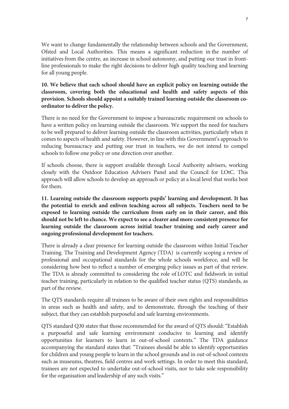We want to change fundamentally the relationship between schools and the Government, Ofsted and Local Authorities. This means a significant reduction in the number of initiatives from the centre, an increase in school autonomy, and putting our trust in frontline professionals to make the right decisions to deliver high quality teaching and learning for all young people.

# **10. We believe that each school should have an explicit policy on learning outside the classroom, covering both the educational and health and safety aspects of this provision. Schools should appoint a suitably trained learning outside the classroom coordinator to deliver the policy.**

There is no need for the Government to impose a bureaucratic requirement on schools to have a written policy on learning outside the classroom. We support the need for teachers to be well prepared to deliver learning outside the classroom activities, particularly when it comes to aspects of health and safety. However, in line with this Government's approach to reducing bureaucracy and putting our trust in teachers, we do not intend to compel schools to follow one policy or one direction over another.

If schools choose, there is support available through Local Authority advisers, working closely with the Outdoor Education Advisers Panel and the Council for LOtC. This approach will allow schools to develop an approach or policy at a local level that works best for them.

**11. Learning outside the classroom supports pupils' learning and development. It has the potential to enrich and enliven teaching across all subjects. Teachers need to be exposed to learning outside the curriculum from early on in their career, and this should not be left to chance. We expect to see a clearer and more consistent presence for learning outside the classroom across initial teacher training and early career and ongoing professional development for teachers.** 

There is already a clear presence for learning outside the classroom within Initial Teacher Training. The Training and Development Agency (TDA) is currently scoping a review of professional and occupational standards for the whole schools workforce, and will be considering how best to reflect a number of emerging policy issues as part of that review. The TDA is already committed to considering the role of LOTC and fieldwork in initial teacher training, particularly in relation to the qualified teacher status (QTS) standards, as part of the review.

The QTS standards require all trainees to be aware of their own rights and responsibilities in areas such as health and safety, and to demonstrate, through the teaching of their subject, that they can establish purposeful and safe learning environments.

QTS standard Q30 states that those recommended for the award of QTS should: "Establish a purposeful and safe learning environment conducive to learning and identify opportunities for learners to learn in out-of-school contexts." The TDA guidance accompanying the standard states that: "Trainees should be able to identify opportunities for children and young people to learn in the school grounds and in out-of-school contexts such as museums, theatres, field centres and work settings. In order to meet this standard, trainees are not expected to undertake out-of-school visits, nor to take sole responsibility for the organisation and leadership of any such visits."